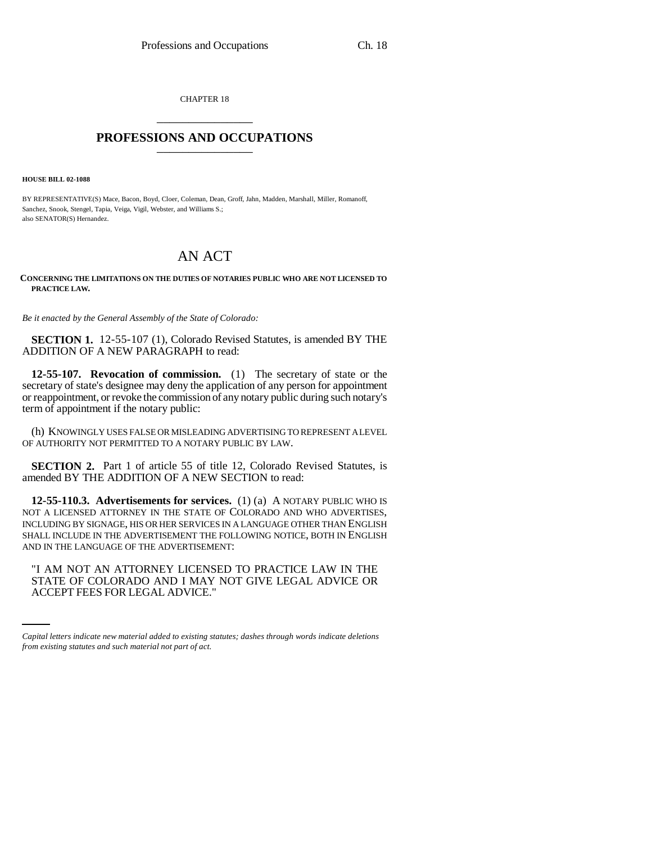CHAPTER 18 \_\_\_\_\_\_\_\_\_\_\_\_\_\_\_

## **PROFESSIONS AND OCCUPATIONS** \_\_\_\_\_\_\_\_\_\_\_\_\_\_\_

**HOUSE BILL 02-1088**

BY REPRESENTATIVE(S) Mace, Bacon, Boyd, Cloer, Coleman, Dean, Groff, Jahn, Madden, Marshall, Miller, Romanoff, Sanchez, Snook, Stengel, Tapia, Veiga, Vigil, Webster, and Williams S.; also SENATOR(S) Hernandez.

## AN ACT

**CONCERNING THE LIMITATIONS ON THE DUTIES OF NOTARIES PUBLIC WHO ARE NOT LICENSED TO PRACTICE LAW.**

*Be it enacted by the General Assembly of the State of Colorado:*

**SECTION 1.** 12-55-107 (1), Colorado Revised Statutes, is amended BY THE ADDITION OF A NEW PARAGRAPH to read:

**12-55-107. Revocation of commission.** (1) The secretary of state or the secretary of state's designee may deny the application of any person for appointment or reappointment, or revoke the commission of any notary public during such notary's term of appointment if the notary public:

(h) KNOWINGLY USES FALSE OR MISLEADING ADVERTISING TO REPRESENT A LEVEL OF AUTHORITY NOT PERMITTED TO A NOTARY PUBLIC BY LAW.

**SECTION 2.** Part 1 of article 55 of title 12, Colorado Revised Statutes, is amended BY THE ADDITION OF A NEW SECTION to read:

**12-55-110.3. Advertisements for services.** (1) (a) A NOTARY PUBLIC WHO IS NOT A LICENSED ATTORNEY IN THE STATE OF COLORADO AND WHO ADVERTISES, INCLUDING BY SIGNAGE, HIS OR HER SERVICES IN A LANGUAGE OTHER THAN ENGLISH SHALL INCLUDE IN THE ADVERTISEMENT THE FOLLOWING NOTICE, BOTH IN ENGLISH AND IN THE LANGUAGE OF THE ADVERTISEMENT:

"I AM NOT AN ATTORNEY LICENSED TO PRACTICE LAW IN THE STATE OF COLORADO AND I MAY NOT GIVE LEGAL ADVICE OR ACCEPT FEES FOR LEGAL ADVICE."

*Capital letters indicate new material added to existing statutes; dashes through words indicate deletions from existing statutes and such material not part of act.*